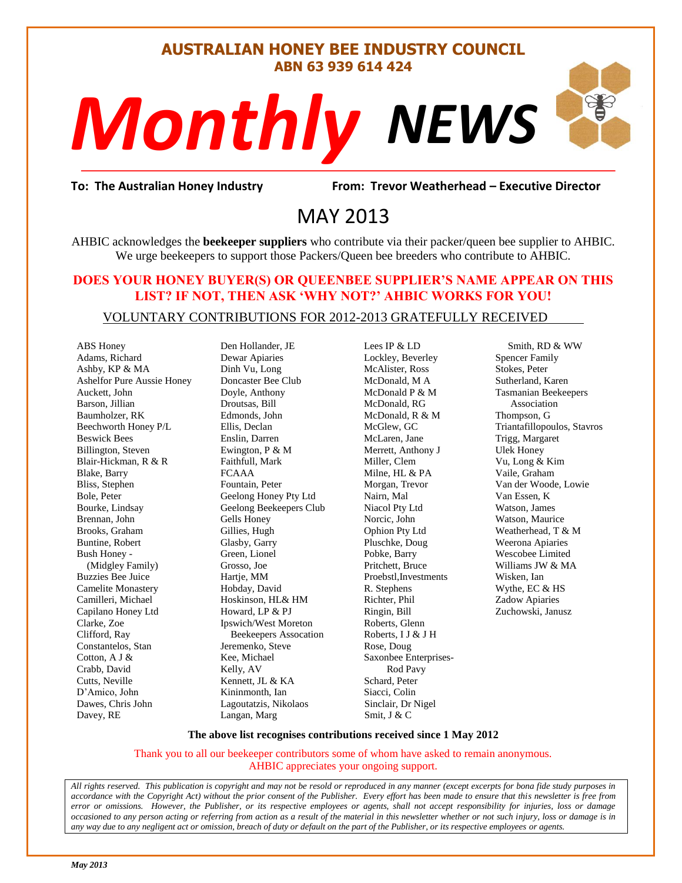#### **AUSTRALIAN HONEY BEE INDUSTRY COUNCIL ABN 63 939 614 424**

# *NEWS Monthly*

evor Weatherh<br>}<br>} **To: The Australian Honey Industry From: Trevor Weatherhead – Executive Director**

## MAY 2013

AHBIC acknowledges the **beekeeper suppliers** who contribute via their packer/queen bee supplier to AHBIC. We urge beekeepers to support those Packers/Queen bee breeders who contribute to AHBIC.

#### **DOES YOUR HONEY BUYER(S) OR QUEENBEE SUPPLIER'S NAME APPEAR ON THIS LIST? IF NOT, THEN ASK 'WHY NOT?' AHBIC WORKS FOR YOU!**

#### VOLUNTARY CONTRIBUTIONS FOR 2012-2013 GRATEFULLY RECEIVED

ABS Honey Adams, Richard Ashby, KP & MA Ashelfor Pure Aussie Honey Auckett, John Barson, Jillian Baumholzer, RK Beechworth Honey P/L Beswick Bees Billington, Steven Blair-Hickman, R & R Blake, Barry Bliss, Stephen Bole, Peter Bourke, Lindsay Brennan, John Brooks, Graham Buntine, Robert Bush Honey - (Midgley Family) Buzzies Bee Juice Camelite Monastery Camilleri, Michael Capilano Honey Ltd Clarke, Zoe Clifford, Ray Constantelos, Stan Cotton, A J & Crabb, David Cutts, Neville D'Amico, John Dawes, Chris John Davey, RE

Den Hollander, JE Dewar Apiaries Dinh Vu, Long Doncaster Bee Club Doyle, Anthony Droutsas, Bill Edmonds, John Ellis, Declan Enslin, Darren Ewington, P & M Faithfull, Mark FCAAA Fountain, Peter Geelong Honey Pty Ltd Geelong Beekeepers Club Gells Honey Gillies, Hugh Glasby, Garry Green, Lionel Grosso, Joe Hartje, MM Hobday, David Hoskinson, HL& HM Howard, LP & PJ Ipswich/West Moreton Beekeepers Assocation Jeremenko, Steve Kee, Michael Kelly, AV Kennett, JL & KA Kininmonth, Ian Lagoutatzis, Nikolaos Langan, Marg

Lees IP & LD Lockley, Beverley McAlister, Ross McDonald, M A McDonald P & M McDonald, RG McDonald, R & M McGlew, GC McLaren, Jane Merrett, Anthony J Miller, Clem Milne, HL & PA Morgan, Trevor Nairn, Mal Niacol Pty Ltd Norcic, John Ophion Pty Ltd Pluschke, Doug Pobke, Barry Pritchett, Bruce Proebstl,Investments R. Stephens Richter, Phil Ringin, Bill Roberts, Glenn Roberts, I J & J H Rose, Doug Saxonbee Enterprises- Rod Pavy Schard, Peter Siacci, Colin Sinclair, Dr Nigel Smit, J & C

 Smith, RD & WW Spencer Family Stokes, Peter Sutherland, Karen Tasmanian Beekeepers Association Thompson, G Triantafillopoulos, Stavros Trigg, Margaret Ulek Honey Vu, Long & Kim Vaile, Graham Van der Woode, Lowie Van Essen, K Watson, James Watson, Maurice Weatherhead, T & M Weerona Apiaries Wescobee Limited Williams JW & MA Wisken, Ian Wythe, EC & HS Zadow Apiaries Zuchowski, Janusz

#### **The above list recognises contributions received since 1 May 2012**

Thank you to all our beekeeper contributors some of whom have asked to remain anonymous. AHBIC appreciates your ongoing support.

*All rights reserved. This publication is copyright and may not be resold or reproduced in any manner (except excerpts for bona fide study purposes in accordance with the Copyright Act) without the prior consent of the Publisher. Every effort has been made to ensure that this newsletter is free from error or omissions. However, the Publisher, or its respective employees or agents, shall not accept responsibility for injuries, loss or damage occasioned to any person acting or referring from action as a result of the material in this newsletter whether or not such injury, loss or damage is in any way due to any negligent act or omission, breach of duty or default on the part of the Publisher, or its respective employees or agents.*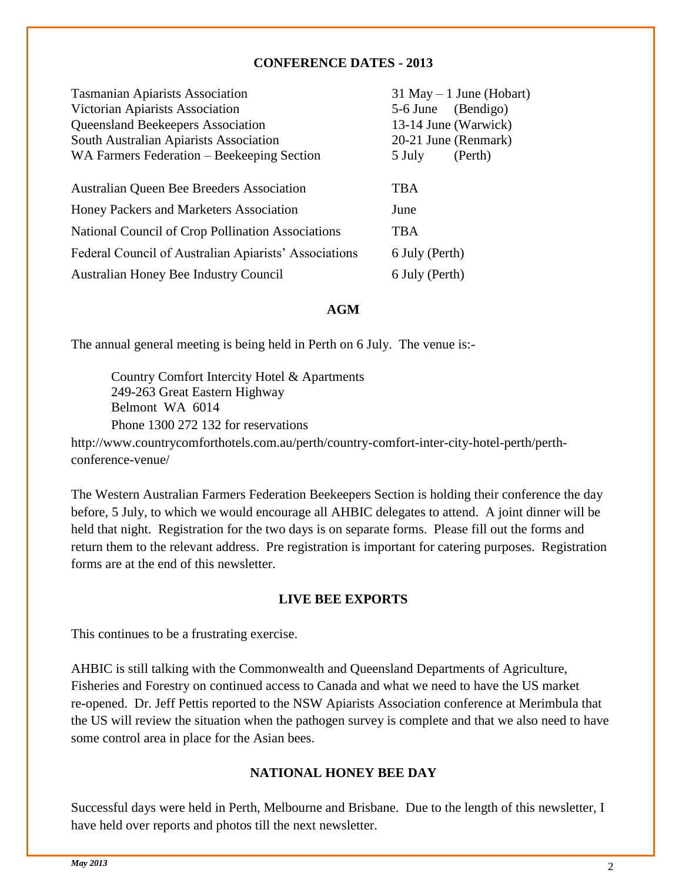#### **CONFERENCE DATES - 2013**

| <b>Tasmanian Apiarists Association</b>                |                    | $31$ May $-1$ June (Hobart) |
|-------------------------------------------------------|--------------------|-----------------------------|
| Victorian Apiarists Association                       | 5-6 June (Bendigo) |                             |
| Queensland Beekeepers Association                     |                    | 13-14 June (Warwick)        |
| South Australian Apiarists Association                |                    | 20-21 June (Renmark)        |
| WA Farmers Federation – Beekeeping Section            | 5 July             | (Perth)                     |
|                                                       |                    |                             |
| Australian Queen Bee Breeders Association             | <b>TBA</b>         |                             |
| Honey Packers and Marketers Association               | June               |                             |
| National Council of Crop Pollination Associations     | <b>TBA</b>         |                             |
| Federal Council of Australian Apiarists' Associations | 6 July (Perth)     |                             |
| Australian Honey Bee Industry Council                 | 6 July (Perth)     |                             |

#### **AGM**

The annual general meeting is being held in Perth on 6 July. The venue is:-

Country Comfort Intercity Hotel & Apartments 249-263 Great Eastern Highway Belmont WA 6014 Phone 1300 272 132 for reservations http://www.countrycomforthotels.com.au/perth/country-comfort-inter-city-hotel-perth/perth-

conference-venue/

The Western Australian Farmers Federation Beekeepers Section is holding their conference the day before, 5 July, to which we would encourage all AHBIC delegates to attend. A joint dinner will be held that night. Registration for the two days is on separate forms. Please fill out the forms and return them to the relevant address. Pre registration is important for catering purposes. Registration forms are at the end of this newsletter.

#### **LIVE BEE EXPORTS**

This continues to be a frustrating exercise.

AHBIC is still talking with the Commonwealth and Queensland Departments of Agriculture, Fisheries and Forestry on continued access to Canada and what we need to have the US market re-opened. Dr. Jeff Pettis reported to the NSW Apiarists Association conference at Merimbula that the US will review the situation when the pathogen survey is complete and that we also need to have some control area in place for the Asian bees.

#### **NATIONAL HONEY BEE DAY**

Successful days were held in Perth, Melbourne and Brisbane. Due to the length of this newsletter, I have held over reports and photos till the next newsletter.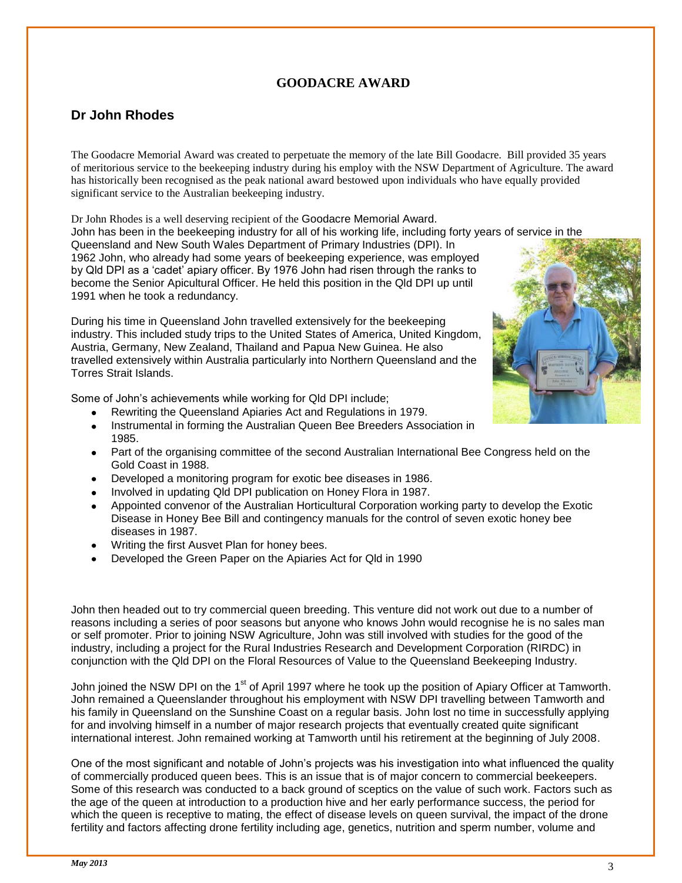### **GOODACRE AWARD**

### **Dr John Rhodes**

1991 when he took a redundancy.

The Goodacre Memorial Award was created to perpetuate the memory of the late Bill Goodacre. Bill provided 35 years of meritorious service to the beekeeping industry during his employ with the NSW Department of Agriculture. The award has historically been recognised as the peak national award bestowed upon individuals who have equally provided significant service to the Australian beekeeping industry.

Dr John Rhodes is a well deserving recipient of the Goodacre Memorial Award. John has been in the beekeeping industry for all of his working life, including forty years of service in the Queensland and New South Wales Department of Primary Industries (DPI). In 1962 John, who already had some years of beekeeping experience, was employed by Qld DPI as a "cadet" apiary officer. By 1976 John had risen through the ranks to become the Senior Apicultural Officer. He held this position in the Qld DPI up until

During his time in Queensland John travelled extensively for the beekeeping industry. This included study trips to the United States of America, United Kingdom, Austria, Germany, New Zealand, Thailand and Papua New Guinea. He also travelled extensively within Australia particularly into Northern Queensland and the Torres Strait Islands.

Some of John"s achievements while working for Qld DPI include;

- Rewriting the Queensland Apiaries Act and Regulations in 1979.
- Instrumental in forming the Australian Queen Bee Breeders Association in 1985.
- Part of the organising committee of the second Australian International Bee Congress held on the Gold Coast in 1988.
- Developed a monitoring program for exotic bee diseases in 1986.
- Involved in updating Qld DPI publication on Honey Flora in 1987.
- Appointed convenor of the Australian Horticultural Corporation working party to develop the Exotic Disease in Honey Bee Bill and contingency manuals for the control of seven exotic honey bee diseases in 1987.
- Writing the first Ausvet Plan for honey bees.
- Developed the Green Paper on the Apiaries Act for Qld in 1990

John then headed out to try commercial queen breeding. This venture did not work out due to a number of reasons including a series of poor seasons but anyone who knows John would recognise he is no sales man or self promoter. Prior to joining NSW Agriculture, John was still involved with studies for the good of the industry, including a project for the Rural Industries Research and Development Corporation (RIRDC) in conjunction with the Qld DPI on the Floral Resources of Value to the Queensland Beekeeping Industry.

John joined the NSW DPI on the 1<sup>st</sup> of April 1997 where he took up the position of Apiary Officer at Tamworth. John remained a Queenslander throughout his employment with NSW DPI travelling between Tamworth and his family in Queensland on the Sunshine Coast on a regular basis. John lost no time in successfully applying for and involving himself in a number of major research projects that eventually created quite significant international interest. John remained working at Tamworth until his retirement at the beginning of July 2008.

One of the most significant and notable of John"s projects was his investigation into what influenced the quality of commercially produced queen bees. This is an issue that is of major concern to commercial beekeepers. Some of this research was conducted to a back ground of sceptics on the value of such work. Factors such as the age of the queen at introduction to a production hive and her early performance success, the period for which the queen is receptive to mating, the effect of disease levels on queen survival, the impact of the drone fertility and factors affecting drone fertility including age, genetics, nutrition and sperm number, volume and

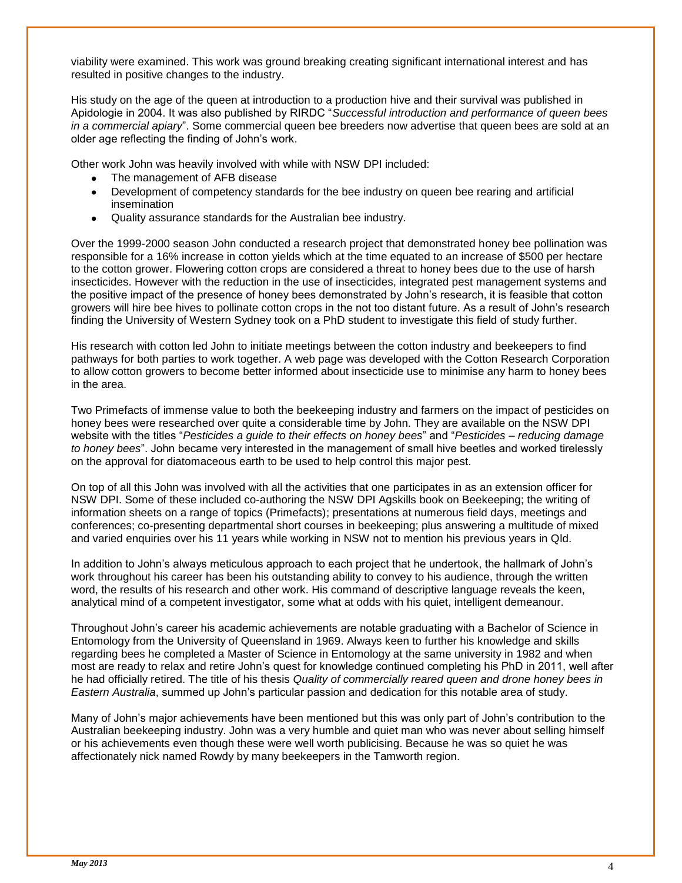viability were examined. This work was ground breaking creating significant international interest and has resulted in positive changes to the industry.

His study on the age of the queen at introduction to a production hive and their survival was published in Apidologie in 2004. It was also published by RIRDC "*Successful introduction and performance of queen bees in a commercial apiary*". Some commercial queen bee breeders now advertise that queen bees are sold at an older age reflecting the finding of John"s work.

Other work John was heavily involved with while with NSW DPI included:

- The management of AFB disease
- Development of competency standards for the bee industry on queen bee rearing and artificial insemination
- Quality assurance standards for the Australian bee industry.

Over the 1999-2000 season John conducted a research project that demonstrated honey bee pollination was responsible for a 16% increase in cotton yields which at the time equated to an increase of \$500 per hectare to the cotton grower. Flowering cotton crops are considered a threat to honey bees due to the use of harsh insecticides. However with the reduction in the use of insecticides, integrated pest management systems and the positive impact of the presence of honey bees demonstrated by John"s research, it is feasible that cotton growers will hire bee hives to pollinate cotton crops in the not too distant future. As a result of John"s research finding the University of Western Sydney took on a PhD student to investigate this field of study further.

His research with cotton led John to initiate meetings between the cotton industry and beekeepers to find pathways for both parties to work together. A web page was developed with the Cotton Research Corporation to allow cotton growers to become better informed about insecticide use to minimise any harm to honey bees in the area.

Two Primefacts of immense value to both the beekeeping industry and farmers on the impact of pesticides on honey bees were researched over quite a considerable time by John. They are available on the NSW DPI website with the titles "*Pesticides a guide to their effects on honey bees*" and "*Pesticides – reducing damage to honey bees*". John became very interested in the management of small hive beetles and worked tirelessly on the approval for diatomaceous earth to be used to help control this major pest.

On top of all this John was involved with all the activities that one participates in as an extension officer for NSW DPI. Some of these included co-authoring the NSW DPI Agskills book on Beekeeping; the writing of information sheets on a range of topics (Primefacts); presentations at numerous field days, meetings and conferences; co-presenting departmental short courses in beekeeping; plus answering a multitude of mixed and varied enquiries over his 11 years while working in NSW not to mention his previous years in Qld.

In addition to John"s always meticulous approach to each project that he undertook, the hallmark of John"s work throughout his career has been his outstanding ability to convey to his audience, through the written word, the results of his research and other work. His command of descriptive language reveals the keen, analytical mind of a competent investigator, some what at odds with his quiet, intelligent demeanour.

Throughout John"s career his academic achievements are notable graduating with a Bachelor of Science in Entomology from the University of Queensland in 1969. Always keen to further his knowledge and skills regarding bees he completed a Master of Science in Entomology at the same university in 1982 and when most are ready to relax and retire John"s quest for knowledge continued completing his PhD in 2011, well after he had officially retired. The title of his thesis *Quality of commercially reared queen and drone honey bees in Eastern Australia*, summed up John"s particular passion and dedication for this notable area of study.

Many of John"s major achievements have been mentioned but this was only part of John"s contribution to the Australian beekeeping industry. John was a very humble and quiet man who was never about selling himself or his achievements even though these were well worth publicising. Because he was so quiet he was affectionately nick named Rowdy by many beekeepers in the Tamworth region.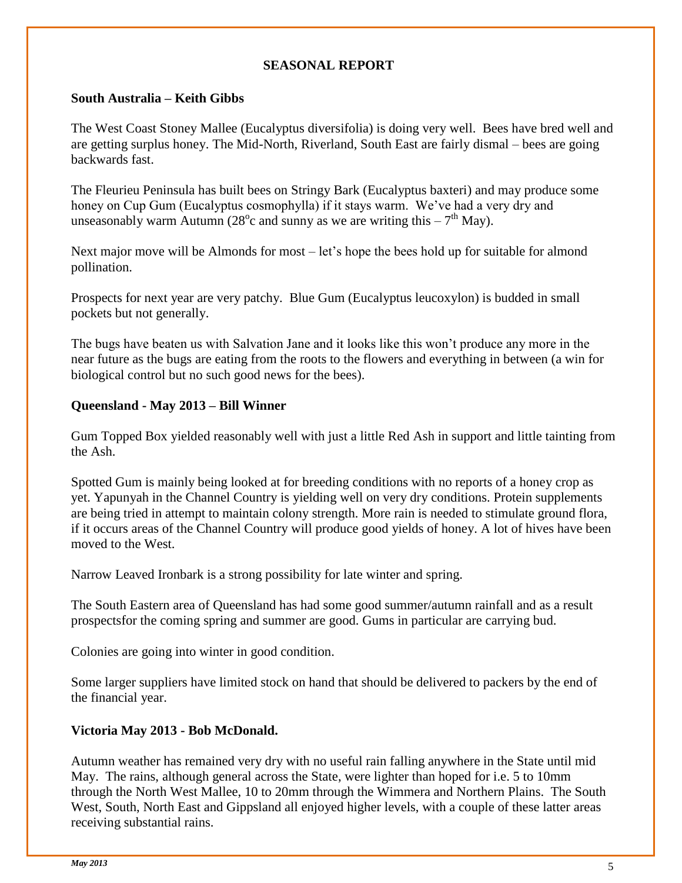#### **SEASONAL REPORT**

#### **South Australia – Keith Gibbs**

The West Coast Stoney Mallee (Eucalyptus diversifolia) is doing very well. Bees have bred well and are getting surplus honey. The Mid-North, Riverland, South East are fairly dismal – bees are going backwards fast.

The Fleurieu Peninsula has built bees on Stringy Bark (Eucalyptus baxteri) and may produce some honey on Cup Gum (Eucalyptus cosmophylla) if it stays warm. We've had a very dry and unseasonably warm Autumn (28<sup>o</sup>c and sunny as we are writing this  $-7<sup>th</sup>$  May).

Next major move will be Almonds for most – let's hope the bees hold up for suitable for almond pollination.

Prospects for next year are very patchy. Blue Gum (Eucalyptus leucoxylon) is budded in small pockets but not generally.

The bugs have beaten us with Salvation Jane and it looks like this won't produce any more in the near future as the bugs are eating from the roots to the flowers and everything in between (a win for biological control but no such good news for the bees).

#### **Queensland - May 2013 – Bill Winner**

Gum Topped Box yielded reasonably well with just a little Red Ash in support and little tainting from the Ash.

Spotted Gum is mainly being looked at for breeding conditions with no reports of a honey crop as yet. Yapunyah in the Channel Country is yielding well on very dry conditions. Protein supplements are being tried in attempt to maintain colony strength. More rain is needed to stimulate ground flora, if it occurs areas of the Channel Country will produce good yields of honey. A lot of hives have been moved to the West.

Narrow Leaved Ironbark is a strong possibility for late winter and spring.

The South Eastern area of Queensland has had some good summer/autumn rainfall and as a result prospectsfor the coming spring and summer are good. Gums in particular are carrying bud.

Colonies are going into winter in good condition.

Some larger suppliers have limited stock on hand that should be delivered to packers by the end of the financial year.

#### **Victoria May 2013 - Bob McDonald.**

Autumn weather has remained very dry with no useful rain falling anywhere in the State until mid May. The rains, although general across the State, were lighter than hoped for i.e. 5 to 10mm through the North West Mallee, 10 to 20mm through the Wimmera and Northern Plains. The South West, South, North East and Gippsland all enjoyed higher levels, with a couple of these latter areas receiving substantial rains.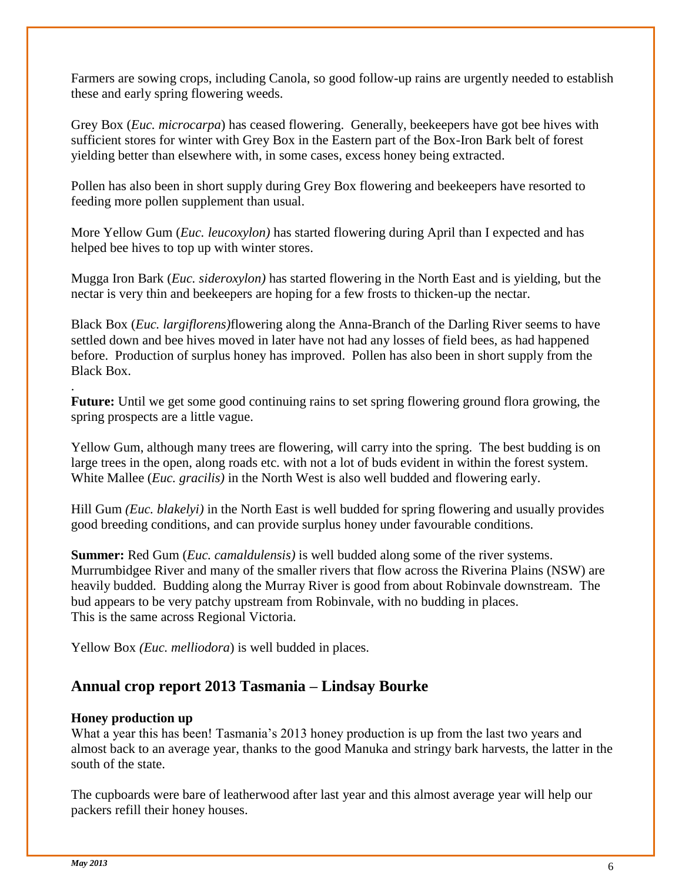Farmers are sowing crops, including Canola, so good follow-up rains are urgently needed to establish these and early spring flowering weeds.

Grey Box (*Euc. microcarpa*) has ceased flowering. Generally, beekeepers have got bee hives with sufficient stores for winter with Grey Box in the Eastern part of the Box-Iron Bark belt of forest yielding better than elsewhere with, in some cases, excess honey being extracted.

Pollen has also been in short supply during Grey Box flowering and beekeepers have resorted to feeding more pollen supplement than usual.

More Yellow Gum (*Euc. leucoxylon)* has started flowering during April than I expected and has helped bee hives to top up with winter stores.

Mugga Iron Bark (*Euc. sideroxylon)* has started flowering in the North East and is yielding, but the nectar is very thin and beekeepers are hoping for a few frosts to thicken-up the nectar.

Black Box (*Euc. largiflorens)*flowering along the Anna-Branch of the Darling River seems to have settled down and bee hives moved in later have not had any losses of field bees, as had happened before. Production of surplus honey has improved. Pollen has also been in short supply from the Black Box.

. **Future:** Until we get some good continuing rains to set spring flowering ground flora growing, the spring prospects are a little vague.

Yellow Gum, although many trees are flowering, will carry into the spring. The best budding is on large trees in the open, along roads etc. with not a lot of buds evident in within the forest system. White Mallee (*Euc. gracilis)* in the North West is also well budded and flowering early.

Hill Gum *(Euc. blakelyi)* in the North East is well budded for spring flowering and usually provides good breeding conditions, and can provide surplus honey under favourable conditions.

**Summer:** Red Gum (*Euc. camaldulensis)* is well budded along some of the river systems. Murrumbidgee River and many of the smaller rivers that flow across the Riverina Plains (NSW) are heavily budded. Budding along the Murray River is good from about Robinvale downstream. The bud appears to be very patchy upstream from Robinvale, with no budding in places. This is the same across Regional Victoria.

Yellow Box *(Euc. melliodora*) is well budded in places.

### **Annual crop report 2013 Tasmania – Lindsay Bourke**

#### **Honey production up**

What a year this has been! Tasmania's 2013 honey production is up from the last two years and almost back to an average year, thanks to the good Manuka and stringy bark harvests, the latter in the south of the state.

The cupboards were bare of leatherwood after last year and this almost average year will help our packers refill their honey houses.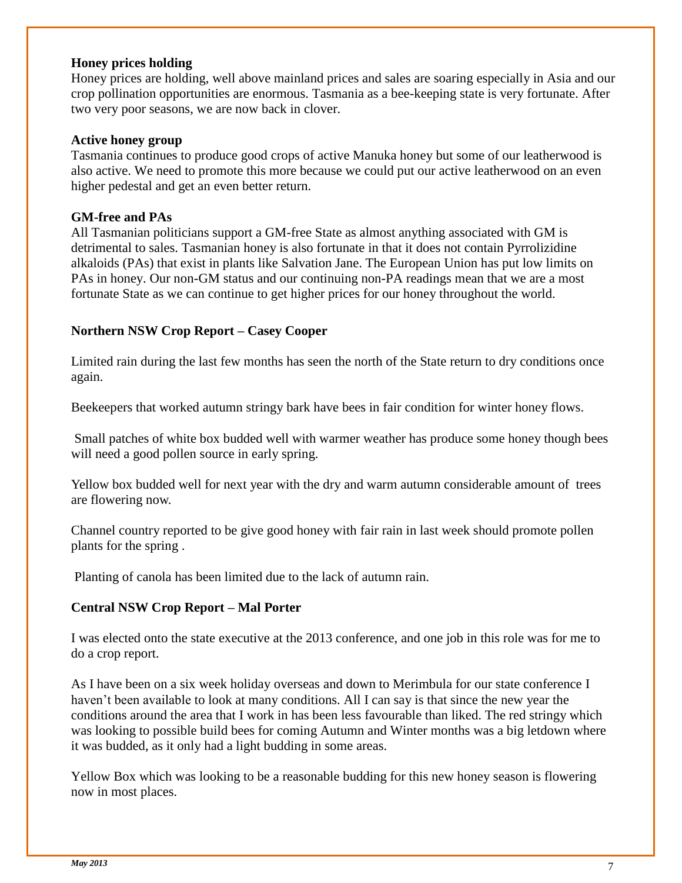#### **Honey prices holding**

Honey prices are holding, well above mainland prices and sales are soaring especially in Asia and our crop pollination opportunities are enormous. Tasmania as a bee-keeping state is very fortunate. After two very poor seasons, we are now back in clover.

#### **Active honey group**

Tasmania continues to produce good crops of active Manuka honey but some of our leatherwood is also active. We need to promote this more because we could put our active leatherwood on an even higher pedestal and get an even better return.

#### **GM-free and PAs**

All Tasmanian politicians support a GM-free State as almost anything associated with GM is detrimental to sales. Tasmanian honey is also fortunate in that it does not contain Pyrrolizidine alkaloids (PAs) that exist in plants like Salvation Jane. The European Union has put low limits on PAs in honey. Our non-GM status and our continuing non-PA readings mean that we are a most fortunate State as we can continue to get higher prices for our honey throughout the world.

#### **Northern NSW Crop Report – Casey Cooper**

Limited rain during the last few months has seen the north of the State return to dry conditions once again.

Beekeepers that worked autumn stringy bark have bees in fair condition for winter honey flows.

Small patches of white box budded well with warmer weather has produce some honey though bees will need a good pollen source in early spring.

Yellow box budded well for next year with the dry and warm autumn considerable amount of trees are flowering now.

Channel country reported to be give good honey with fair rain in last week should promote pollen plants for the spring .

Planting of canola has been limited due to the lack of autumn rain.

#### **Central NSW Crop Report – Mal Porter**

I was elected onto the state executive at the 2013 conference, and one job in this role was for me to do a crop report.

As I have been on a six week holiday overseas and down to Merimbula for our state conference I haven't been available to look at many conditions. All I can say is that since the new year the conditions around the area that I work in has been less favourable than liked. The red stringy which was looking to possible build bees for coming Autumn and Winter months was a big letdown where it was budded, as it only had a light budding in some areas.

Yellow Box which was looking to be a reasonable budding for this new honey season is flowering now in most places.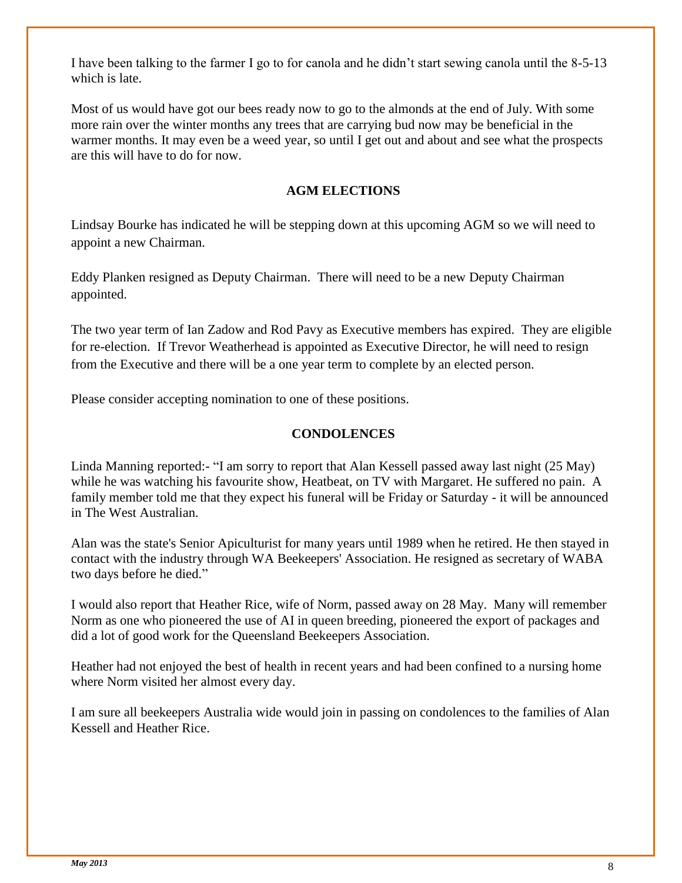I have been talking to the farmer I go to for canola and he didn't start sewing canola until the 8-5-13 which is late.

Most of us would have got our bees ready now to go to the almonds at the end of July. With some more rain over the winter months any trees that are carrying bud now may be beneficial in the warmer months. It may even be a weed year, so until I get out and about and see what the prospects are this will have to do for now.

#### **AGM ELECTIONS**

Lindsay Bourke has indicated he will be stepping down at this upcoming AGM so we will need to appoint a new Chairman.

Eddy Planken resigned as Deputy Chairman. There will need to be a new Deputy Chairman appointed.

The two year term of Ian Zadow and Rod Pavy as Executive members has expired. They are eligible for re-election. If Trevor Weatherhead is appointed as Executive Director, he will need to resign from the Executive and there will be a one year term to complete by an elected person.

Please consider accepting nomination to one of these positions.

#### **CONDOLENCES**

Linda Manning reported:- "I am sorry to report that Alan Kessell passed away last night (25 May) while he was watching his favourite show, Heatbeat, on TV with Margaret. He suffered no pain. A family member told me that they expect his funeral will be Friday or Saturday - it will be announced in The West Australian.

Alan was the state's Senior Apiculturist for many years until 1989 when he retired. He then stayed in contact with the industry through WA Beekeepers' Association. He resigned as secretary of WABA two days before he died."

I would also report that Heather Rice, wife of Norm, passed away on 28 May. Many will remember Norm as one who pioneered the use of AI in queen breeding, pioneered the export of packages and did a lot of good work for the Queensland Beekeepers Association.

Heather had not enjoyed the best of health in recent years and had been confined to a nursing home where Norm visited her almost every day.

I am sure all beekeepers Australia wide would join in passing on condolences to the families of Alan Kessell and Heather Rice.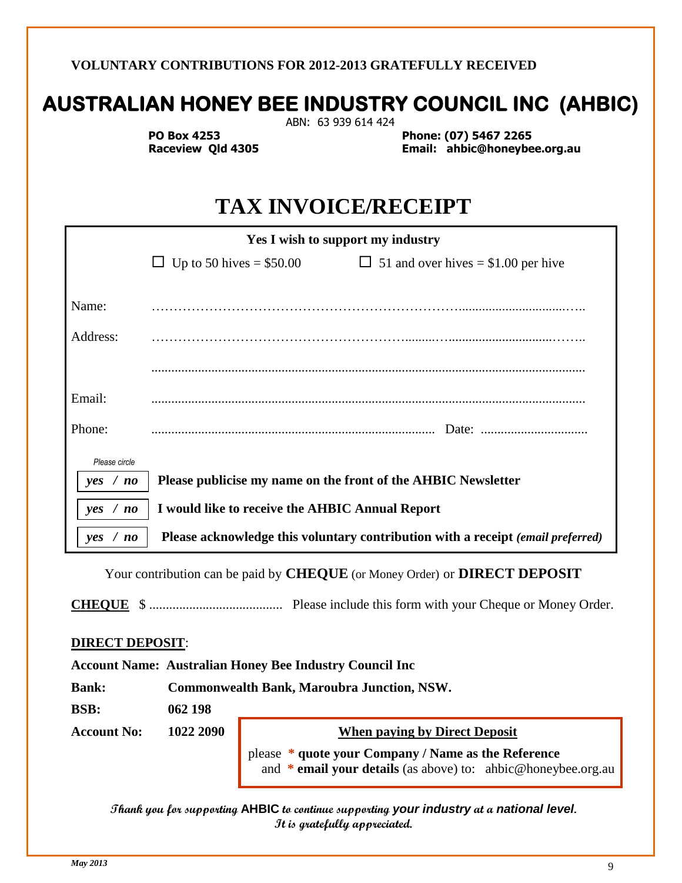#### **VOLUNTARY CONTRIBUTIONS FOR 2012-2013 GRATEFULLY RECEIVED**

# **AUSTRALIAN HONEY BEE INDUSTRY COUNCIL INC (AHBIC)**

ABN: 63 939 614 424

 **PO Box 4253 Phone: (07) 5467 2265 Raceview Qld 4305 Email: ahbic@honeybee.org.au**

# **TAX INVOICE/RECEIPT**

|               | Yes I wish to support my industry                             |                                                                                 |
|---------------|---------------------------------------------------------------|---------------------------------------------------------------------------------|
|               | Up to 50 hives $= $50.00$<br>ப                                | $\Box$ 51 and over hives = \$1.00 per hive                                      |
|               |                                                               |                                                                                 |
| Name:         |                                                               |                                                                                 |
| Address:      |                                                               |                                                                                 |
|               |                                                               |                                                                                 |
| Email:        |                                                               |                                                                                 |
| Phone:        |                                                               |                                                                                 |
| Please circle |                                                               |                                                                                 |
| yes / no      | Please publicise my name on the front of the AHBIC Newsletter |                                                                                 |
| yes / no      | I would like to receive the AHBIC Annual Report               |                                                                                 |
| yes / no      |                                                               | Please acknowledge this voluntary contribution with a receipt (email preferred) |

Your contribution can be paid by **CHEQUE** (or Money Order) or **DIRECT DEPOSIT**

**CHEQUE** \$ ........................................ Please include this form with your Cheque or Money Order.

#### **DIRECT DEPOSIT**:

#### **Account Name: Australian Honey Bee Industry Council Inc**

**Bank: Commonwealth Bank, Maroubra Junction, NSW.**

**BSB: 062 198** 

Account No: 1022 2090 When paying by Direct Deposit

 please **\* quote your Company / Name as the Reference** and **\* email your details** (as above) to: ahbic@honeybee.org.au

**Thank you for supporting AHBIC to continue supporting** *your industry* **at a** *national level***. It is gratefully appreciated.**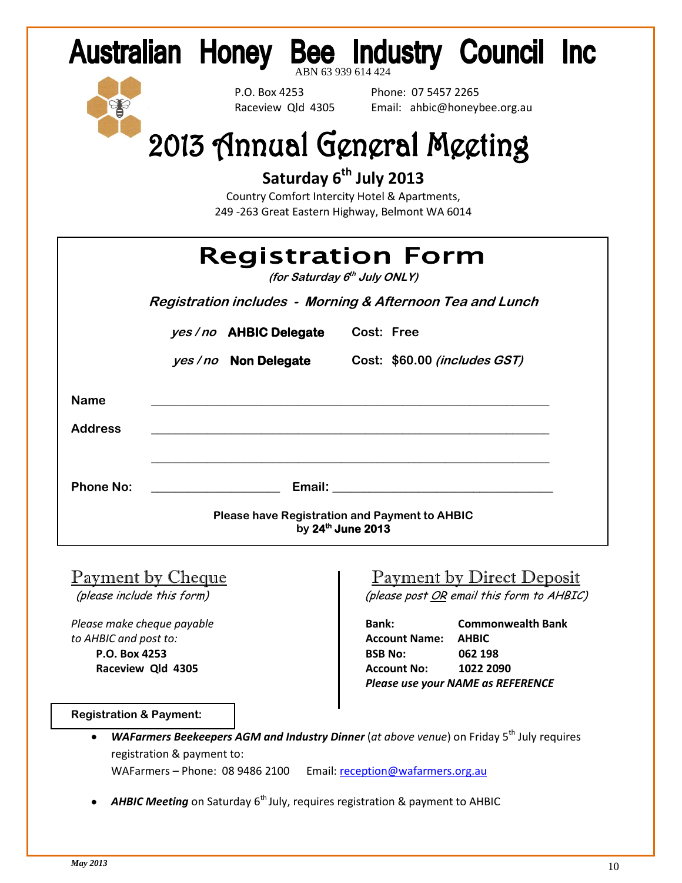| Australian Honey Bee Industry Council Inc |  |  |  |
|-------------------------------------------|--|--|--|
|                                           |  |  |  |



P.O. Box 4253 Phone: 07 5457 2265<br>Raceview Old 4305 Email: ahbic@honev Email: ahbic@honeybee.org.au

# 2013 Annual General Meeting

**Saturday 6th July 2013** 

Country Comfort Intercity Hotel & Apartments, 249 -263 Great Eastern Highway, Belmont WA 6014

|                  | <b>Registration Form</b><br>(for Saturday 6 <sup>th</sup> July ONLY)      |
|------------------|---------------------------------------------------------------------------|
|                  | Registration includes - Morning & Afternoon Tea and Lunch                 |
|                  | yes/no AHBIC Delegate Cost: Free                                          |
|                  | yes / no Non Delegate Cost: \$60.00 (includes GST)                        |
| <b>Name</b>      |                                                                           |
| <b>Address</b>   |                                                                           |
|                  |                                                                           |
| <b>Phone No:</b> | <b>Email:</b> Email:                                                      |
|                  | <b>Please have Registration and Payment to AHBIC</b><br>by 24th June 2013 |

*to AHBIC and post to:* **Account Name: AHBIC**

### Payment by Cheque **Payment by Direct Deposit**

(please include this form)  $(please post  $OR$  email this form to AHBIC)$ 

*Please make cheque payable* **Bank: Commonwealth Bank P.O. Box 4253****BSB No: 062 198 Raceview Qld 4305****Account No: 1022 2090**  *Please use your NAME as REFERENCE*

#### **Registration & Payment:**

*WAFarmers Beekeepers AGM and Industry Dinner* (*at above venue*) on Friday 5<sup>th</sup> July requires  $\bullet$ registration & payment to:

WAFarmers - Phone: 08 9486 2100 Email: [reception@wafarmers.org.au](mailto:reception@wafarmers.org.au)

AHBIC Meeting on Saturday 6<sup>th</sup> July, requires registration & payment to AHBIC